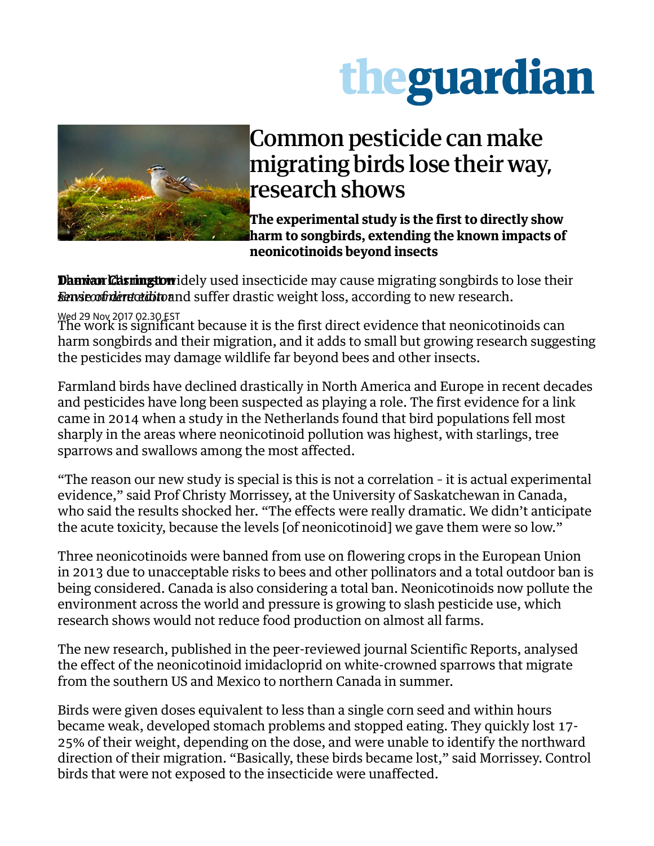## theguardian



## Common pesticide can make migrating birds lose their way, research shows

The experimental study is the first to directly show harm to songbirds, extending the known impacts of neonicotinoids beyond insects

**Damian Casningtow**idely used insecticide may cause migrating songbirds to lose their **Eense of niere of direction** suffer drastic weight loss, according to new research.

The work is significant because it is the first direct evidence that neonicotinoids can Wed 29 Nov 2017 02.30 ESTharm songbirds and their migration, and it adds to small but growing research suggesting the pesticides may damage wildlife far beyond bees and other insects.

Farmland birds have declined drastically in North America and Europe in recent decades and pesticides have long been suspected as playing a role. The first evidence for a link came in 2014 when a study in the Netherlands found that bird populations fell most sharply in the areas where neonicotinoid pollution was highest, with starlings, tree sparrows and swallows among the most affected.

"The reason our new study is special is this is not a correlation – it is actual experimental evidence," said Prof Christy Morrissey, at the University of Saskatchewan in Canada, who said the results shocked her. "The effects were really dramatic. We didn't anticipate the acute toxicity, because the levels [of neonicotinoid] we gave them were so low."

Three neonicotinoids were banned from use on flowering crops in the European Union in 2013 due to unacceptable risks to bees and other pollinators and a total outdoor ban is being considered. Canada is also considering a total ban. Neonicotinoids now pollute the environment across the world and pressure is growing to slash pesticide use, which research shows would not reduce food production on almost all farms.

The new research, published in the peer-reviewed journal Scientific Reports, analysed the effect of the neonicotinoid imidacloprid on white-crowned sparrows that migrate from the southern US and Mexico to northern Canada in summer.

Birds were given doses equivalent to less than a single corn seed and within hours became weak, developed stomach problems and stopped eating. They quickly lost 17- 25% of their weight, depending on the dose, and were unable to identify the northward direction of their migration. "Basically, these birds became lost," said Morrissey. Control birds that were not exposed to the insecticide were unaffected.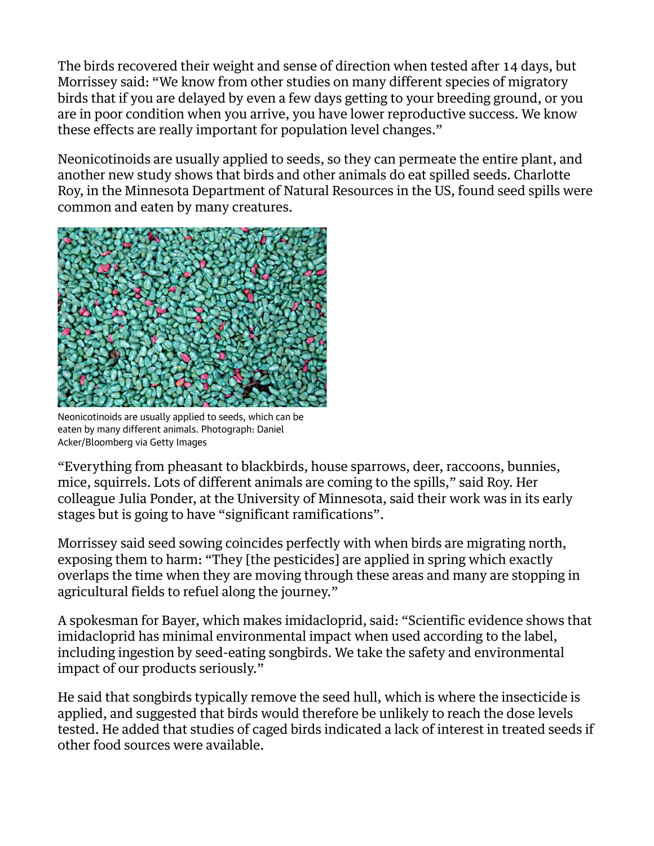The birds recovered their weight and sense of direction when tested after 14 days, but Morrissey said: "We know from other studies on many different species of migratory birds that if you are delayed by even a few days getting to your breeding ground, or you are in poor condition when you arrive, you have lower reproductive success. We know these effects are really important for population level changes."

Neonicotinoids are usually applied to seeds, so they can permeate the entire plant, and another new study shows that birds and other animals do eat spilled seeds. Charlotte Roy, in the Minnesota Department of Natural Resources in the US, found seed spills were common and eaten by many creatures.



Neonicotinoids are usually applied to seeds, which can be eaten by many different animals. Photograph: Daniel Acker/Bloomberg via Getty Images

"Everything from pheasant to blackbirds, house sparrows, deer, raccoons, bunnies, mice, squirrels. Lots of different animals are coming to the spills," said Roy. Her colleague Julia Ponder, at the University of Minnesota, said their work was in its early stages but is going to have "significant ramifications".

Morrissey said seed sowing coincides perfectly with when birds are migrating north, exposing them to harm: "They [the pesticides] are applied in spring which exactly overlaps the time when they are moving through these areas and many are stopping in agricultural fields to refuel along the journey."

A spokesman for Bayer, which makes imidacloprid, said: "Scientific evidence shows that imidacloprid has minimal environmental impact when used according to the label, including ingestion by seed-eating songbirds. We take the safety and environmental impact of our products seriously."

He said that songbirds typically remove the seed hull, which is where the insecticide is applied, and suggested that birds would therefore be unlikely to reach the dose levels tested. He added that studies of caged birds indicated a lack of interest in treated seeds if other food sources were available.